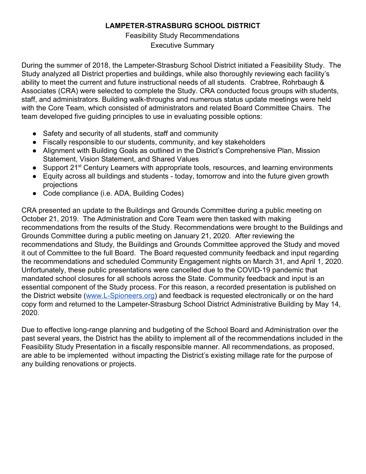## **LAMPETER-STRASBURG SCHOOL DISTRICT**

## Feasibility Study Recommendations Executive Summary

During the summer of 2018, the Lampeter-Strasburg School District initiated a Feasibility Study. The Study analyzed all District properties and buildings, while also thoroughly reviewing each facility's ability to meet the current and future instructional needs of all students. Crabtree, Rohrbaugh & Associates (CRA) were selected to complete the Study. CRA conducted focus groups with students, staff, and administrators. Building walk-throughs and numerous status update meetings were held with the Core Team, which consisted of administrators and related Board Committee Chairs. The team developed five guiding principles to use in evaluating possible options:

- Safety and security of all students, staff and community
- Fiscally responsible to our students, community, and key stakeholders
- Alignment with Building Goals as outlined in the District's Comprehensive Plan, Mission Statement, Vision Statement, and Shared Values
- Support 21<sup>st</sup> Century Learners with appropriate tools, resources, and learning environments
- Equity across all buildings and students today, tomorrow and into the future given growth projections
- Code compliance (i.e. ADA, Building Codes)

CRA presented an update to the Buildings and Grounds Committee during a public meeting on October 21, 2019. The Administration and Core Team were then tasked with making recommendations from the results of the Study. Recommendations were brought to the Buildings and Grounds Committee during a public meeting on January 21, 2020. After reviewing the recommendations and Study, the Buildings and Grounds Committee approved the Study and moved it out of Committee to the full Board. The Board requested community feedback and input regarding the recommendations and scheduled Community Engagement nights on March 31, and April 1, 2020. Unfortunately, these public presentations were cancelled due to the COVID-19 pandemic that mandated school closures for all schools across the State. Community feedback and input is an essential component of the Study process. For this reason, a recorded presentation is published on the District website ([www.L-Spioneers.org\)](http://www.l-spioneers.org/) and feedback is requested electronically or on the hard copy form and returned to the Lampeter-Strasburg School District Administrative Building by May 14, 2020.

Due to effective long-range planning and budgeting of the School Board and Administration over the past several years, the District has the ability to implement all of the recommendations included in the Feasibility Study Presentation in a fiscally responsible manner. All recommendations, as proposed, are able to be implemented without impacting the District's existing millage rate for the purpose of any building renovations or projects.